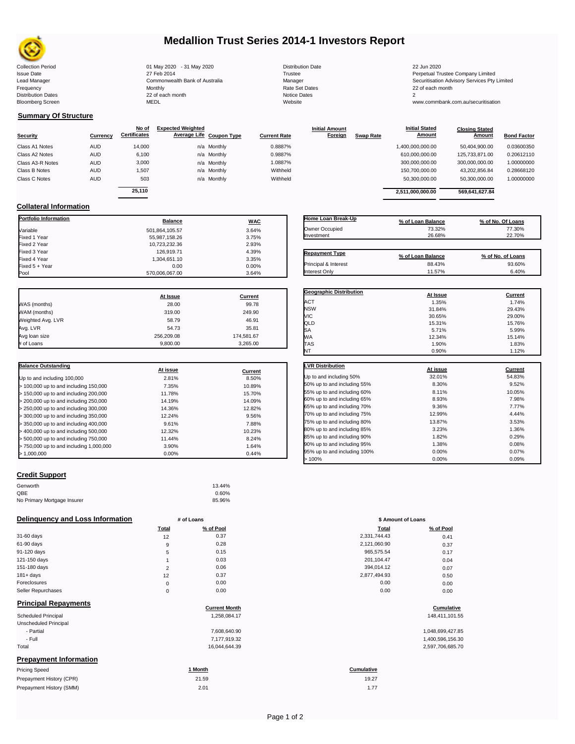

## **Medallion Trust Series 2014-1 Investors Report**

Collection Period 01 May 2020 - 31 May 2020 Distribution Date 22 Jun 2020 Issue Date 2014 19 27 Feb 2014 27 Feb 2014<br>1991 Lead Manager 2006 2017 Commonwealth Bank of Australia 2014 1991 Manager 2014 1991 1992 Securitisation Advisory Services Pty Lead Manager **Commonwealth Bank of Australia** Manager Manager Securitisation Advisory Services Pty Limited Frequency Monthly Rate Set Dates 22 of each month Prequency results are the Monthly Monthly Monthly Rate Set Dates 2 and Dates 2 and Dates 2 and Dates 2 and Dates 2 and Dates 2 and Dates 2 and Dates 2 and Dates 2 and Dates 2 and Dates 2 and Dates 2 and Dates 2 and Dates 2 Bloomberg Screen MEDL Website www.commbank.com.au/securitisation

| <b>Distribution Date</b> |
|--------------------------|
| Trustee                  |
| Manager                  |
| Rate Set Dates           |
| Notice Dates             |
| Website                  |
|                          |

**Initial Amount** 

**Closing Stated Amount**

## **Summary Of Structure**

**Collateral Information**

|                  |            | No of               | <b>Expected Weighted</b> |                          |                     | <b>Initial Amount</b> |                  | <b>Initial Stated</b> | <b>Closing Stated</b> |                    |
|------------------|------------|---------------------|--------------------------|--------------------------|---------------------|-----------------------|------------------|-----------------------|-----------------------|--------------------|
| <b>Security</b>  | Currency   | <b>Certificates</b> |                          | Average Life Coupon Type | <b>Current Rate</b> | Foreign               | <b>Swap Rate</b> | <b>Amount</b>         | Amount                | <b>Bond Factor</b> |
| Class A1 Notes   | AUD        | 14,000              |                          | n/a Monthly              | 0.8887%             |                       |                  | 1,400,000,000.00      | 50.404.900.00         | 0.03600350         |
| Class A2 Notes   | <b>AUD</b> | 6,100               |                          | n/a Monthly              | 0.9887%             |                       |                  | 610,000,000.00        | 125.733.871.00        | 0.20612110         |
| Class A3-R Notes | <b>AUD</b> | 3,000               |                          | n/a Monthly              | 1.0887%             |                       |                  | 300,000,000.00        | 300,000,000.00        | 1.00000000         |
| Class B Notes    | <b>AUD</b> | 1,507               |                          | n/a Monthly              | Withheld            |                       |                  | 150,700,000.00        | 43,202,856.84         | 0.28668120         |
| Class C Notes    | <b>AUD</b> | 503                 |                          | n/a Monthly              | Withheld            |                       |                  | 50,300,000.00         | 50,300,000.00         | 1.00000000         |
|                  |            | 25.110              |                          |                          |                     |                       |                  | 2.511.000.000.00      | 569.641.627.84        |                    |
|                  |            |                     |                          |                          |                     |                       |                  |                       |                       |                    |

**Portfolio Information Balance WAC** Variable 3.64% Fixed 1 Year 3.75% Fixed 2 Year 10,723,232.36 2.93% Fixed 3 Year 126,919.71 4.39% Fixed 4 Year 1,304,651.10 3.35% Fixed 5 + Year 0.00 0.00%

| Home Loan Break-Up                            | % of Loan Balance           | % of No. Of Loans |
|-----------------------------------------------|-----------------------------|-------------------|
| Owner Occupied                                | 73.32%                      | 77.30%            |
| Investment                                    | 26.68%                      | 22.70%            |
|                                               |                             |                   |
|                                               |                             | % of No. of Loans |
| <b>Repayment Type</b><br>Principal & Interest | % of Loan Balance<br>88.43% | 93.60%            |

**Initial Stated** 

|                   | At Issue   | <b>Current</b> |
|-------------------|------------|----------------|
| WAS (months)      | 28.00      | 99.78          |
| WAM (months)      | 319.00     | 249.90         |
| Weighted Avg. LVR | 58.79      | 46.91          |
| Avg. LVR          | 54.73      | 35.81          |
| Avg loan size     | 256,209.08 | 174,581.67     |

# of Loans 9,800.00 3,265.00

 $570,006,067.00$ 

| <b>Balance Outstanding</b>              |          |         |
|-----------------------------------------|----------|---------|
|                                         | At issue | Current |
| Up to and including 100,000             | 2.81%    | 8.50%   |
| $>$ 100,000 up to and including 150,000 | 7.35%    | 10.89%  |
| $>$ 150,000 up to and including 200,000 | 11.78%   | 15.70%  |
| > 200,000 up to and including 250,000   | 14.19%   | 14.09%  |
| > 250,000 up to and including 300,000   | 14.36%   | 12.82%  |
| > 300,000 up to and including 350,000   | 12.24%   | 9.56%   |
| > 350,000 up to and including 400,000   | 9.61%    | 7.88%   |
| > 400,000 up to and including 500,000   | 12.32%   | 10.23%  |
| > 500,000 up to and including 750,000   | 11.44%   | 8.24%   |
| > 750,000 up to and including 1,000,000 | 3.90%    | 1.64%   |
| > 1.000.000                             | 0.00%    | 0.44%   |

| <b>Credit Support</b> |  |
|-----------------------|--|
|                       |  |

| Genworth                    | 13.44% |
|-----------------------------|--------|
| QBE                         | 0.60%  |
| No Primary Mortgage Insurer | 85.96% |

### **Delinquency and Loss Information # of Loans**

|                               | <b>Total</b> | % of Pool            | <b>Total</b>      | % of Pool        |
|-------------------------------|--------------|----------------------|-------------------|------------------|
| 31-60 days                    | 12           | 0.37                 | 2,331,744.43      | 0.41             |
| 61-90 days                    | 9            | 0.28                 | 2,121,060.90      | 0.37             |
| 91-120 days                   | 5            | 0.15                 | 965,575.54        | 0.17             |
| 121-150 days                  |              | 0.03                 | 201,104.47        | 0.04             |
| 151-180 days                  | 2            | 0.06                 | 394,014.12        | 0.07             |
| $181 + days$                  | 12           | 0.37                 | 2,877,494.93      | 0.50             |
| Foreclosures                  | $\mathbf 0$  | 0.00                 | 0.00              | 0.00             |
| Seller Repurchases            | $\mathbf 0$  | 0.00                 | 0.00              | 0.00             |
| <b>Principal Repayments</b>   |              | <b>Current Month</b> |                   | Cumulative       |
| Scheduled Principal           |              | 1,258,084.17         |                   | 148,411,101.55   |
| Unscheduled Principal         |              |                      |                   |                  |
| - Partial                     |              | 7,608,640.90         |                   | 1,048,699,427.85 |
| - Full                        |              | 7,177,919.32         |                   | 1,400,596,156.30 |
| Total                         |              | 16,044,644.39        |                   | 2,597,706,685.70 |
| <b>Prepayment Information</b> |              |                      |                   |                  |
| <b>Pricing Speed</b>          |              | 1 Month              | <b>Cumulative</b> |                  |
| Prepayment History (CPR)      |              | 21.59                | 19.27             |                  |
| Prepayment History (SMM)      |              | 2.01                 | 1.77              |                  |

| Geographic Distribution      |          |                |
|------------------------------|----------|----------------|
|                              | At Issue | <b>Current</b> |
| <b>ACT</b>                   | 1.35%    | 1.74%          |
| <b>NSW</b>                   | 31.84%   | 29.43%         |
| VIC                          | 30.65%   | 29.00%         |
| QLD                          | 15.31%   | 15.76%         |
| SA                           | 5.71%    | 5.99%          |
| <b>WA</b>                    | 12.34%   | 15.14%         |
| TAS                          | 1.90%    | 1.83%          |
| NT                           | 0.90%    | 1.12%          |
|                              |          |                |
| <b>LVR Distribution</b>      | At issue | <b>Current</b> |
| Up to and including 50%      | 32.01%   | 54.83%         |
| 50% up to and including 55%  | 8.30%    | 9.52%          |
| 55% up to and including 60%  | 8.11%    | 10.05%         |
| 60% up to and including 65%  | 8.93%    | 7.98%          |
| 65% up to and including 70%  | 9.36%    | 7.77%          |
| 70% up to and including 75%  | 12.99%   | 4.44%          |
| 75% up to and including 80%  | 13.87%   | 3.53%          |
| 80% up to and including 85%  | 3.23%    | 1.36%          |
| 85% up to and including 90%  | 1.82%    | 0.29%          |
| 90% up to and including 95%  | 1.38%    | 0.08%          |
| 95% up to and including 100% | 0.00%    | 0.07%          |
| >100%                        | 0.00%    | 0.09%          |

| # of Loans     |           | \$ Amount of Loans |           |  |
|----------------|-----------|--------------------|-----------|--|
| Total          | % of Pool | Total              | % of Pool |  |
| 12             | 0.37      | 2,331,744.43       | 0.41      |  |
| 9              | 0.28      | 2,121,060.90       | 0.37      |  |
| 5              | 0.15      | 965,575.54         | 0.17      |  |
| 1              | 0.03      | 201,104.47         | 0.04      |  |
| $\overline{2}$ | 0.06      | 394,014.12         | 0.07      |  |
| 12             | 0.37      | 2,877,494.93       | 0.50      |  |
| $\mathbf 0$    | 0.00      | 0.00               | 0.00      |  |
| $\mathbf 0$    | 0.00      | 0.00               | 0.00      |  |

# **Cumulative**<br> **Cumulative**